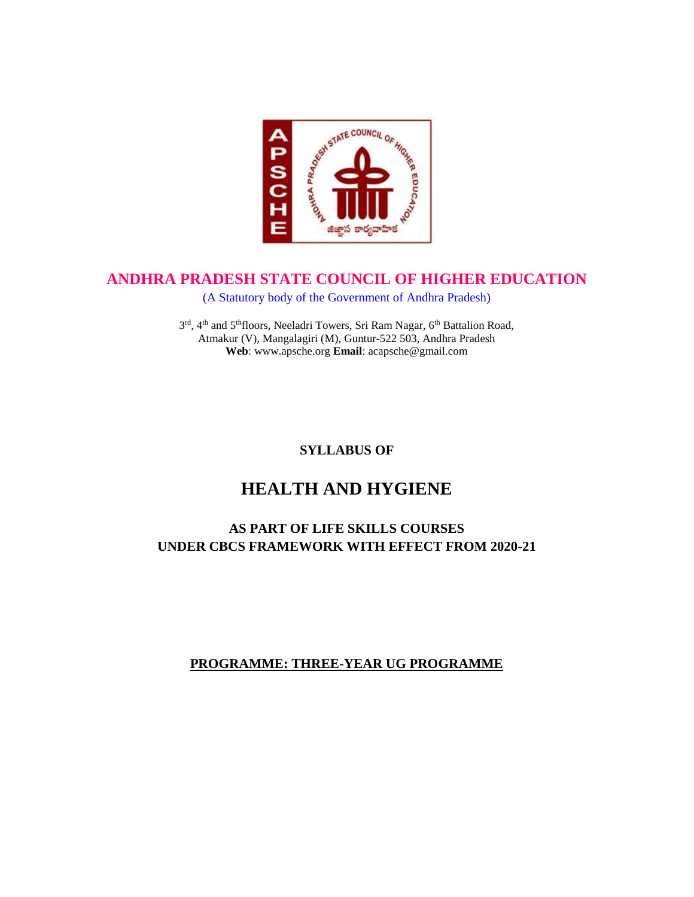

# **ANDHRA PRADESH STATE COUNCIL OF HIGHER EDUCATION**

(A Statutory body of the Government of Andhra Pradesh)

3rd, 4<sup>th</sup> and 5<sup>th</sup>floors, Neeladri Towers, Sri Ram Nagar, 6<sup>th</sup> Battalion Road, Atmakur (V), Mangalagiri (M), Guntur-522 503, Andhra Pradesh **Web**: www.apsche.org **Email**: acapsche@gmail.com

# **SYLLABUS OF**

# **HEALTH AND HYGIENE**

# **AS PART OF LIFE SKILLS COURSES UNDER CBCS FRAMEWORK WITH EFFECT FROM 2020-21**

## **PROGRAMME: THREE-YEAR UG PROGRAMME**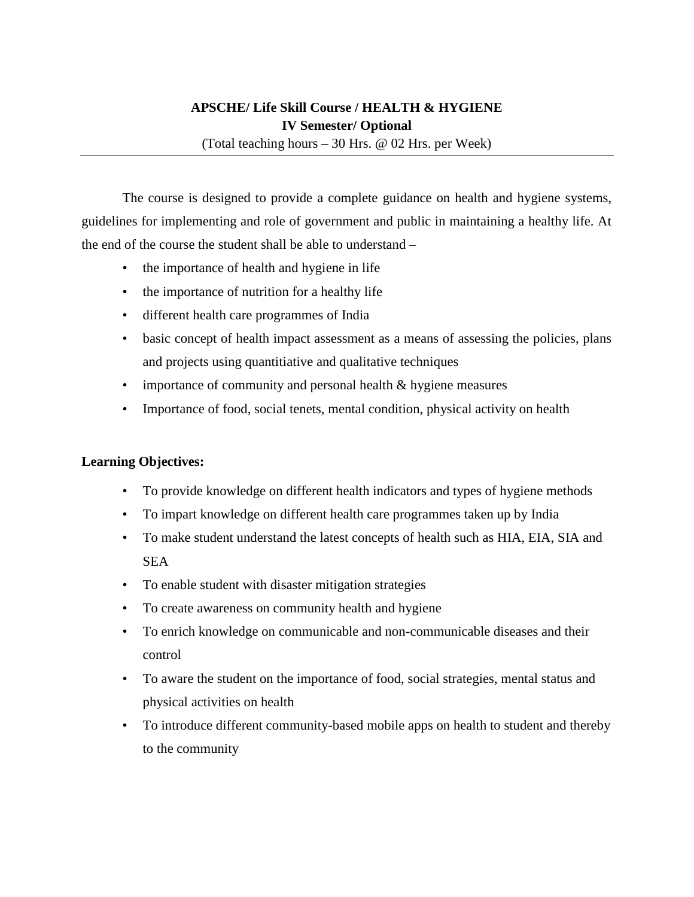# **APSCHE/ Life Skill Course / HEALTH & HYGIENE IV Semester/ Optional**

(Total teaching hours – 30 Hrs. @ 02 Hrs. per Week)

The course is designed to provide a complete guidance on health and hygiene systems, guidelines for implementing and role of government and public in maintaining a healthy life. At the end of the course the student shall be able to understand –

- the importance of health and hygiene in life
- the importance of nutrition for a healthy life
- different health care programmes of India
- basic concept of health impact assessment as a means of assessing the policies, plans and projects using quantitiative and qualitative techniques
- importance of community and personal health & hygiene measures
- Importance of food, social tenets, mental condition, physical activity on health

## **Learning Objectives:**

- To provide knowledge on different health indicators and types of hygiene methods
- To impart knowledge on different health care programmes taken up by India
- To make student understand the latest concepts of health such as HIA, EIA, SIA and **SEA**
- To enable student with disaster mitigation strategies
- To create awareness on community health and hygiene
- To enrich knowledge on communicable and non-communicable diseases and their control
- To aware the student on the importance of food, social strategies, mental status and physical activities on health
- To introduce different community-based mobile apps on health to student and thereby to the community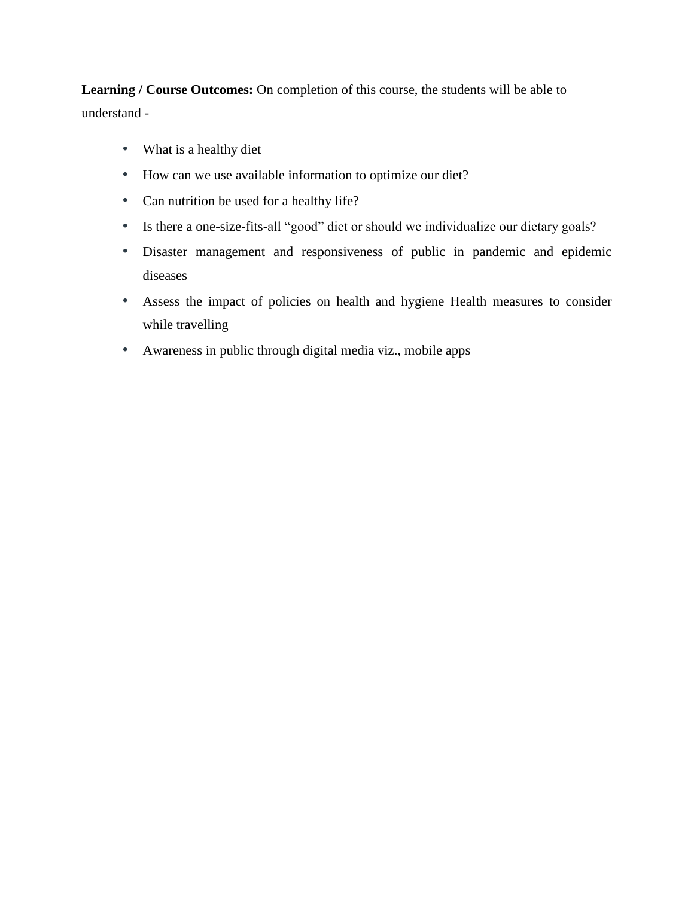**Learning / Course Outcomes:** On completion of this course, the students will be able to understand -

- What is a healthy diet
- How can we use available information to optimize our diet?
- Can nutrition be used for a healthy life?
- Is there a one-size-fits-all "good" diet or should we individualize our dietary goals?
- Disaster management and responsiveness of public in pandemic and epidemic diseases
- Assess the impact of policies on health and hygiene Health measures to consider while travelling
- Awareness in public through digital media viz., mobile apps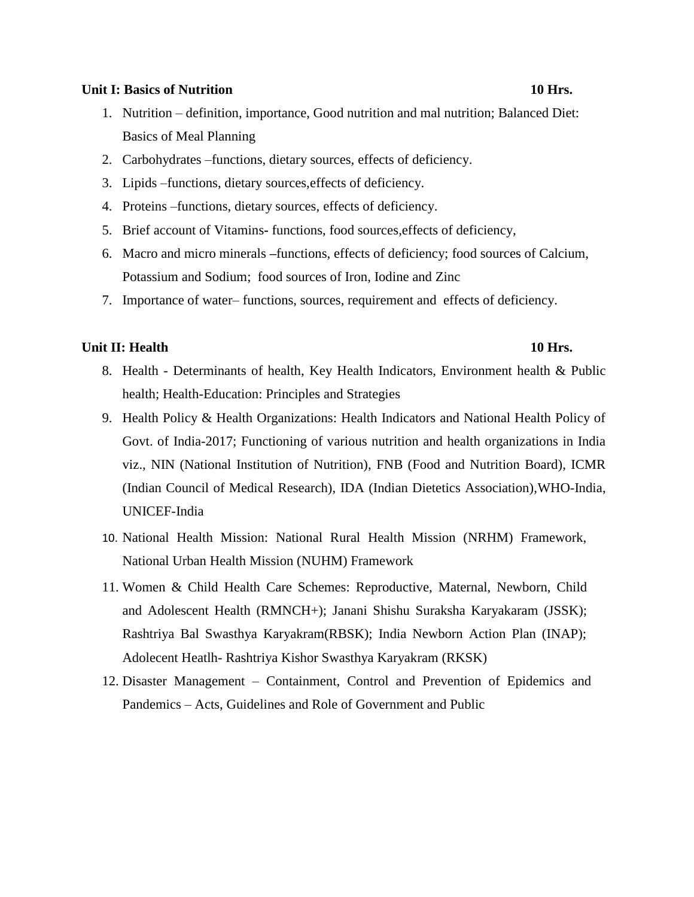#### **Unit I: Basics of Nutrition 10 Hrs.**

- 1. Nutrition definition, importance, Good nutrition and mal nutrition; Balanced Diet: Basics of Meal Planning
- 2. Carbohydrates –functions, dietary sources, effects of deficiency.
- 3. Lipids –functions, dietary sources,effects of deficiency.
- 4. Proteins –functions, dietary sources, effects of deficiency.
- 5. Brief account of Vitamins**-** functions, food sources,effects of deficiency,
- 6. Macro and micro minerals **–**functions, effects of deficiency; food sources of Calcium, Potassium and Sodium; food sources of Iron, Iodine and Zinc
- 7. Importance of water– functions, sources, requirement and effects of deficiency.

#### **Unit II: Health 10 Hrs. 10 Hrs. 10 Hrs. 10 Hrs.**

- 8. Health Determinants of health, Key Health Indicators, Environment health & Public health; Health-Education: Principles and Strategies
- 9. Health Policy & Health Organizations: Health Indicators and National Health Policy of Govt. of India-2017; Functioning of various nutrition and health organizations in India viz., NIN (National Institution of Nutrition), FNB (Food and Nutrition Board), ICMR (Indian Council of Medical Research), IDA (Indian Dietetics Association),WHO-India, UNICEF-India
- 10. National Health Mission: National Rural Health Mission (NRHM) Framework, National Urban Health Mission (NUHM) Framework
- 11. Women & Child Health Care Schemes: Reproductive, Maternal, Newborn, Child and Adolescent Health (RMNCH+); Janani Shishu Suraksha Karyakaram (JSSK); Rashtriya Bal Swasthya Karyakram(RBSK); India Newborn Action Plan (INAP); Adolecent Heatlh- Rashtriya Kishor Swasthya Karyakram (RKSK)
- 12. Disaster Management Containment, Control and Prevention of Epidemics and Pandemics – Acts, Guidelines and Role of Government and Public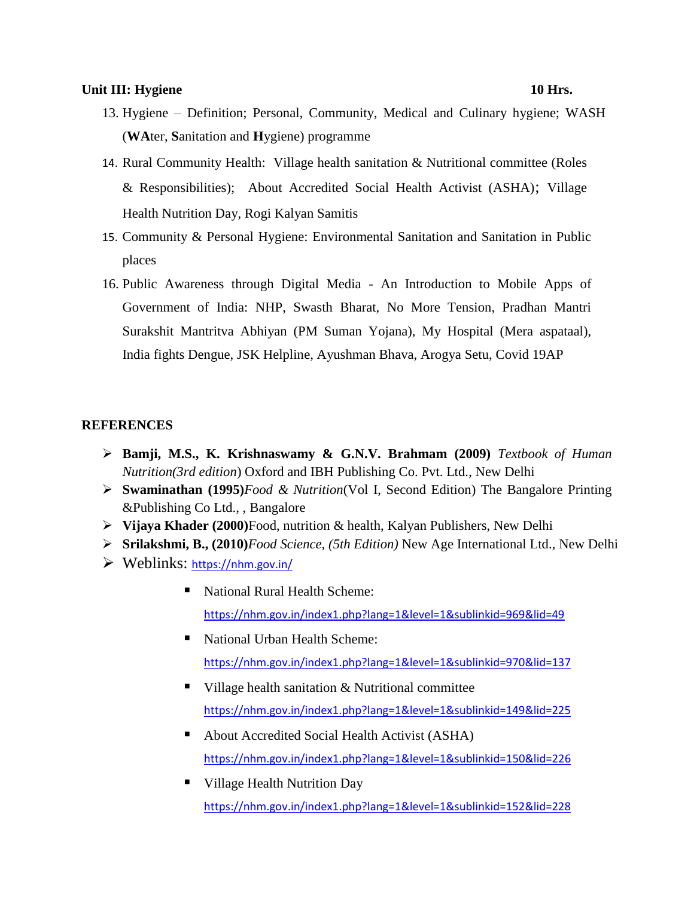### **Unit III: Hygiene 10 Hrs.**

# 13. Hygiene – Definition; Personal, Community, Medical and Culinary hygiene; WASH (**WA**ter, **S**anitation and **H**ygiene) programme

- 14. Rural Community Health: Village health sanitation & Nutritional committee (Roles & Responsibilities); About Accredited Social Health Activist (ASHA); Village Health Nutrition Day, Rogi Kalyan Samitis
- 15. Community & Personal Hygiene: Environmental Sanitation and Sanitation in Public places
- 16. Public Awareness through Digital Media An Introduction to Mobile Apps of Government of India: NHP, Swasth Bharat, No More Tension, Pradhan Mantri Surakshit Mantritva Abhiyan (PM Suman Yojana), My Hospital (Mera aspataal), India fights Dengue, JSK Helpline, Ayushman Bhava, Arogya Setu, Covid 19AP

### **REFERENCES**

- **Bamji, M.S., K. Krishnaswamy & G.N.V. Brahmam (2009)** *Textbook of Human Nutrition(3rd edition*) Oxford and IBH Publishing Co. Pvt. Ltd., New Delhi
- **Swaminathan (1995)***Food & Nutrition*(Vol I, Second Edition) The Bangalore Printing &Publishing Co Ltd., , Bangalore
- **Vijaya Khader (2000)**Food, nutrition & health, Kalyan Publishers, New Delhi
- **Srilakshmi, B., (2010)***Food Science, (5th Edition)* New Age International Ltd., New Delhi
- Weblinks: <https://nhm.gov.in/>
	- National Rural Health Scheme: <https://nhm.gov.in/index1.php?lang=1&level=1&sublinkid=969&lid=49>
	- National Urban Health Scheme: <https://nhm.gov.in/index1.php?lang=1&level=1&sublinkid=970&lid=137>
	- $\blacksquare$  Village health sanitation & Nutritional committee <https://nhm.gov.in/index1.php?lang=1&level=1&sublinkid=149&lid=225>
	- About Accredited Social Health Activist (ASHA) <https://nhm.gov.in/index1.php?lang=1&level=1&sublinkid=150&lid=226>
	- Village Health Nutrition Day <https://nhm.gov.in/index1.php?lang=1&level=1&sublinkid=152&lid=228>